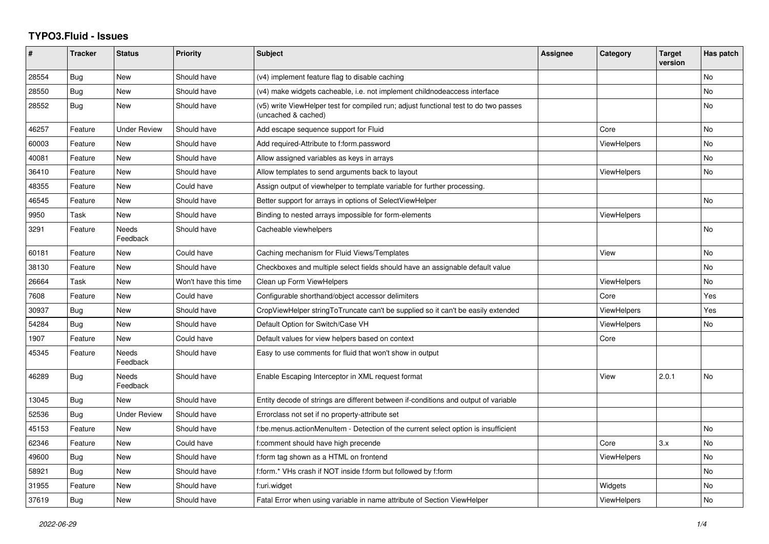## **TYPO3.Fluid - Issues**

| ∦     | <b>Tracker</b> | <b>Status</b>            | <b>Priority</b>      | Subject                                                                                                     | <b>Assignee</b> | Category           | <b>Target</b><br>version | Has patch |
|-------|----------------|--------------------------|----------------------|-------------------------------------------------------------------------------------------------------------|-----------------|--------------------|--------------------------|-----------|
| 28554 | Bug            | New                      | Should have          | (v4) implement feature flag to disable caching                                                              |                 |                    |                          | No        |
| 28550 | Bug            | New                      | Should have          | (v4) make widgets cacheable, i.e. not implement childnodeaccess interface                                   |                 |                    |                          | No        |
| 28552 | <b>Bug</b>     | New                      | Should have          | (v5) write ViewHelper test for compiled run; adjust functional test to do two passes<br>(uncached & cached) |                 |                    |                          | No        |
| 46257 | Feature        | Under Review             | Should have          | Add escape sequence support for Fluid                                                                       |                 | Core               |                          | No        |
| 60003 | Feature        | <b>New</b>               | Should have          | Add required-Attribute to f:form.password                                                                   |                 | <b>ViewHelpers</b> |                          | No        |
| 40081 | Feature        | <b>New</b>               | Should have          | Allow assigned variables as keys in arrays                                                                  |                 |                    |                          | No        |
| 36410 | Feature        | New                      | Should have          | Allow templates to send arguments back to layout                                                            |                 | <b>ViewHelpers</b> |                          | No        |
| 48355 | Feature        | <b>New</b>               | Could have           | Assign output of viewhelper to template variable for further processing.                                    |                 |                    |                          |           |
| 46545 | Feature        | <b>New</b>               | Should have          | Better support for arrays in options of SelectViewHelper                                                    |                 |                    |                          | <b>No</b> |
| 9950  | Task           | New                      | Should have          | Binding to nested arrays impossible for form-elements                                                       |                 | <b>ViewHelpers</b> |                          |           |
| 3291  | Feature        | <b>Needs</b><br>Feedback | Should have          | Cacheable viewhelpers                                                                                       |                 |                    |                          | No        |
| 60181 | Feature        | New                      | Could have           | Caching mechanism for Fluid Views/Templates                                                                 |                 | View               |                          | No        |
| 38130 | Feature        | New                      | Should have          | Checkboxes and multiple select fields should have an assignable default value                               |                 |                    |                          | No        |
| 26664 | Task           | New                      | Won't have this time | Clean up Form ViewHelpers                                                                                   |                 | <b>ViewHelpers</b> |                          | No        |
| 7608  | Feature        | <b>New</b>               | Could have           | Configurable shorthand/object accessor delimiters                                                           |                 | Core               |                          | Yes       |
| 30937 | Bug            | New                      | Should have          | CropViewHelper stringToTruncate can't be supplied so it can't be easily extended                            |                 | <b>ViewHelpers</b> |                          | Yes       |
| 54284 | <b>Bug</b>     | New                      | Should have          | Default Option for Switch/Case VH                                                                           |                 | ViewHelpers        |                          | No.       |
| 1907  | Feature        | <b>New</b>               | Could have           | Default values for view helpers based on context                                                            |                 | Core               |                          |           |
| 45345 | Feature        | <b>Needs</b><br>Feedback | Should have          | Easy to use comments for fluid that won't show in output                                                    |                 |                    |                          |           |
| 46289 | Bug            | Needs<br>Feedback        | Should have          | Enable Escaping Interceptor in XML request format                                                           |                 | View               | 2.0.1                    | No        |
| 13045 | Bug            | New                      | Should have          | Entity decode of strings are different between if-conditions and output of variable                         |                 |                    |                          |           |
| 52536 | Bug            | <b>Under Review</b>      | Should have          | Errorclass not set if no property-attribute set                                                             |                 |                    |                          |           |
| 45153 | Feature        | <b>New</b>               | Should have          | f:be.menus.actionMenuItem - Detection of the current select option is insufficient                          |                 |                    |                          | No        |
| 62346 | Feature        | <b>New</b>               | Could have           | f:comment should have high precende                                                                         |                 | Core               | 3.x                      | No        |
| 49600 | Bug            | New                      | Should have          | f:form tag shown as a HTML on frontend                                                                      |                 | ViewHelpers        |                          | No        |
| 58921 | Bug            | New                      | Should have          | f:form.* VHs crash if NOT inside f:form but followed by f:form                                              |                 |                    |                          | No.       |
| 31955 | Feature        | New                      | Should have          | f:uri.widget                                                                                                |                 | Widgets            |                          | No        |
| 37619 | Bug            | New                      | Should have          | Fatal Error when using variable in name attribute of Section ViewHelper                                     |                 | <b>ViewHelpers</b> |                          | No        |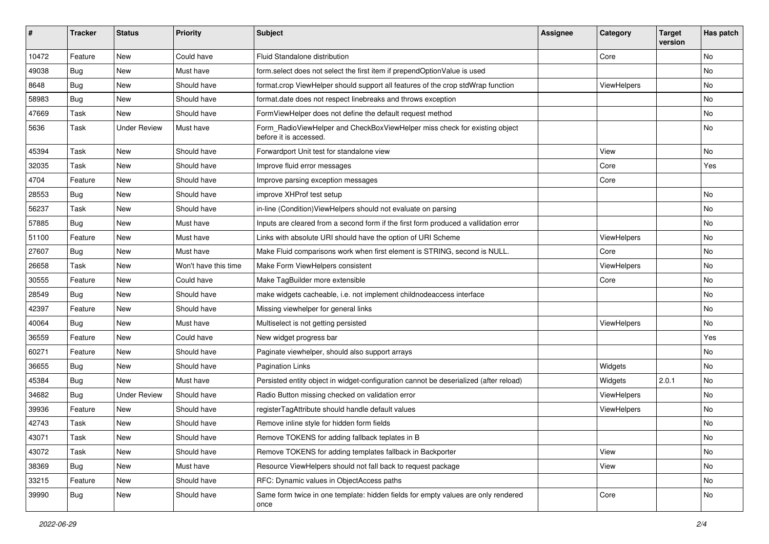| ∦     | <b>Tracker</b> | <b>Status</b>       | <b>Priority</b>      | Subject                                                                                              | <b>Assignee</b> | Category    | <b>Target</b><br>version | Has patch |
|-------|----------------|---------------------|----------------------|------------------------------------------------------------------------------------------------------|-----------------|-------------|--------------------------|-----------|
| 10472 | Feature        | New                 | Could have           | Fluid Standalone distribution                                                                        |                 | Core        |                          | <b>No</b> |
| 49038 | Bug            | New                 | Must have            | form.select does not select the first item if prependOptionValue is used                             |                 |             |                          | No        |
| 8648  | Bug            | New                 | Should have          | format.crop ViewHelper should support all features of the crop stdWrap function                      |                 | ViewHelpers |                          | No        |
| 58983 | Bug            | New                 | Should have          | format.date does not respect linebreaks and throws exception                                         |                 |             |                          | <b>No</b> |
| 47669 | Task           | New                 | Should have          | FormViewHelper does not define the default request method                                            |                 |             |                          | No        |
| 5636  | Task           | <b>Under Review</b> | Must have            | Form_RadioViewHelper and CheckBoxViewHelper miss check for existing object<br>before it is accessed. |                 |             |                          | <b>No</b> |
| 45394 | Task           | New                 | Should have          | Forwardport Unit test for standalone view                                                            |                 | View        |                          | No        |
| 32035 | Task           | New                 | Should have          | Improve fluid error messages                                                                         |                 | Core        |                          | Yes       |
| 4704  | Feature        | New                 | Should have          | Improve parsing exception messages                                                                   |                 | Core        |                          |           |
| 28553 | Bug            | New                 | Should have          | improve XHProf test setup                                                                            |                 |             |                          | No        |
| 56237 | Task           | New                 | Should have          | in-line (Condition) View Helpers should not evaluate on parsing                                      |                 |             |                          | No        |
| 57885 | Bug            | New                 | Must have            | Inputs are cleared from a second form if the first form produced a vallidation error                 |                 |             |                          | No        |
| 51100 | Feature        | <b>New</b>          | Must have            | Links with absolute URI should have the option of URI Scheme                                         |                 | ViewHelpers |                          | <b>No</b> |
| 27607 | Bug            | New                 | Must have            | Make Fluid comparisons work when first element is STRING, second is NULL.                            |                 | Core        |                          | No        |
| 26658 | Task           | New                 | Won't have this time | Make Form ViewHelpers consistent                                                                     |                 | ViewHelpers |                          | No        |
| 30555 | Feature        | New                 | Could have           | Make TagBuilder more extensible                                                                      |                 | Core        |                          | No        |
| 28549 | Bug            | New                 | Should have          | make widgets cacheable, i.e. not implement childnodeaccess interface                                 |                 |             |                          | No        |
| 42397 | Feature        | New                 | Should have          | Missing viewhelper for general links                                                                 |                 |             |                          | <b>No</b> |
| 40064 | Bug            | New                 | Must have            | Multiselect is not getting persisted                                                                 |                 | ViewHelpers |                          | No        |
| 36559 | Feature        | New                 | Could have           | New widget progress bar                                                                              |                 |             |                          | Yes       |
| 60271 | Feature        | New                 | Should have          | Paginate viewhelper, should also support arrays                                                      |                 |             |                          | No        |
| 36655 | Bug            | New                 | Should have          | <b>Pagination Links</b>                                                                              |                 | Widgets     |                          | No        |
| 45384 | Bug            | New                 | Must have            | Persisted entity object in widget-configuration cannot be deserialized (after reload)                |                 | Widgets     | 2.0.1                    | No        |
| 34682 | Bug            | <b>Under Review</b> | Should have          | Radio Button missing checked on validation error                                                     |                 | ViewHelpers |                          | No        |
| 39936 | Feature        | New                 | Should have          | registerTagAttribute should handle default values                                                    |                 | ViewHelpers |                          | No        |
| 42743 | Task           | New                 | Should have          | Remove inline style for hidden form fields                                                           |                 |             |                          | No        |
| 43071 | Task           | New                 | Should have          | Remove TOKENS for adding fallback teplates in B                                                      |                 |             |                          | No        |
| 43072 | Task           | New                 | Should have          | Remove TOKENS for adding templates fallback in Backporter                                            |                 | View        |                          | No        |
| 38369 | <b>Bug</b>     | New                 | Must have            | Resource ViewHelpers should not fall back to request package                                         |                 | View        |                          | No        |
| 33215 | Feature        | New                 | Should have          | RFC: Dynamic values in ObjectAccess paths                                                            |                 |             |                          | No        |
| 39990 | <b>Bug</b>     | New                 | Should have          | Same form twice in one template: hidden fields for empty values are only rendered<br>once            |                 | Core        |                          | No        |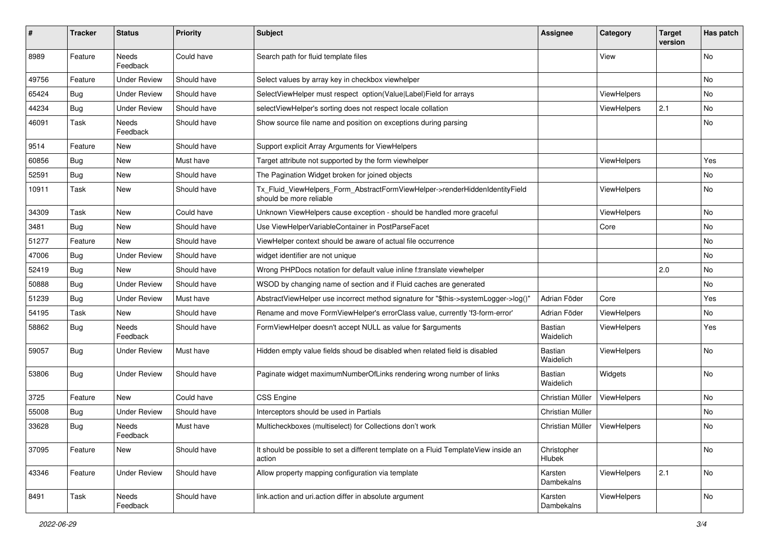| #     | <b>Tracker</b> | <b>Status</b>       | <b>Priority</b> | <b>Subject</b>                                                                                         | <b>Assignee</b>             | Category           | <b>Target</b><br>version | Has patch |
|-------|----------------|---------------------|-----------------|--------------------------------------------------------------------------------------------------------|-----------------------------|--------------------|--------------------------|-----------|
| 8989  | Feature        | Needs<br>Feedback   | Could have      | Search path for fluid template files                                                                   |                             | View               |                          | <b>No</b> |
| 49756 | Feature        | Under Review        | Should have     | Select values by array key in checkbox viewhelper                                                      |                             |                    |                          | No        |
| 65424 | Bug            | <b>Under Review</b> | Should have     | SelectViewHelper must respect option(Value Label)Field for arrays                                      |                             | ViewHelpers        |                          | No        |
| 44234 | Bug            | <b>Under Review</b> | Should have     | selectViewHelper's sorting does not respect locale collation                                           |                             | ViewHelpers        | 2.1                      | No        |
| 46091 | Task           | Needs<br>Feedback   | Should have     | Show source file name and position on exceptions during parsing                                        |                             |                    |                          | No        |
| 9514  | Feature        | New                 | Should have     | Support explicit Array Arguments for ViewHelpers                                                       |                             |                    |                          |           |
| 60856 | Bug            | New                 | Must have       | Target attribute not supported by the form viewhelper                                                  |                             | ViewHelpers        |                          | Yes       |
| 52591 | Bug            | New                 | Should have     | The Pagination Widget broken for joined objects                                                        |                             |                    |                          | No        |
| 10911 | Task           | New                 | Should have     | Tx_Fluid_ViewHelpers_Form_AbstractFormViewHelper->renderHiddenIdentityField<br>should be more reliable |                             | ViewHelpers        |                          | No        |
| 34309 | Task           | New                 | Could have      | Unknown ViewHelpers cause exception - should be handled more graceful                                  |                             | <b>ViewHelpers</b> |                          | No        |
| 3481  | Bug            | New                 | Should have     | Use ViewHelperVariableContainer in PostParseFacet                                                      |                             | Core               |                          | <b>No</b> |
| 51277 | Feature        | New                 | Should have     | ViewHelper context should be aware of actual file occurrence                                           |                             |                    |                          | No        |
| 47006 | Bug            | <b>Under Review</b> | Should have     | widget identifier are not unique                                                                       |                             |                    |                          | No        |
| 52419 | Bug            | New                 | Should have     | Wrong PHPDocs notation for default value inline f:translate viewhelper                                 |                             |                    | 2.0                      | No        |
| 50888 | Bug            | <b>Under Review</b> | Should have     | WSOD by changing name of section and if Fluid caches are generated                                     |                             |                    |                          | No        |
| 51239 | Bug            | <b>Under Review</b> | Must have       | AbstractViewHelper use incorrect method signature for "\$this->systemLogger->log()"                    | Adrian Föder                | Core               |                          | Yes       |
| 54195 | Task           | New                 | Should have     | Rename and move FormViewHelper's errorClass value, currently 'f3-form-error'                           | Adrian Föder                | ViewHelpers        |                          | No        |
| 58862 | Bug            | Needs<br>Feedback   | Should have     | FormViewHelper doesn't accept NULL as value for \$arguments                                            | Bastian<br>Waidelich        | ViewHelpers        |                          | Yes       |
| 59057 | Bug            | Under Review        | Must have       | Hidden empty value fields shoud be disabled when related field is disabled                             | <b>Bastian</b><br>Waidelich | ViewHelpers        |                          | No        |
| 53806 | <b>Bug</b>     | <b>Under Review</b> | Should have     | Paginate widget maximumNumberOfLinks rendering wrong number of links                                   | <b>Bastian</b><br>Waidelich | Widgets            |                          | No        |
| 3725  | Feature        | New                 | Could have      | <b>CSS Engine</b>                                                                                      | Christian Müller            | ViewHelpers        |                          | No        |
| 55008 | Bug            | <b>Under Review</b> | Should have     | Interceptors should be used in Partials                                                                | Christian Müller            |                    |                          | No        |
| 33628 | Bug            | Needs<br>Feedback   | Must have       | Multicheckboxes (multiselect) for Collections don't work                                               | Christian Müller            | ViewHelpers        |                          | No        |
| 37095 | Feature        | New                 | Should have     | It should be possible to set a different template on a Fluid TemplateView inside an<br>action          | Christopher<br>Hlubek       |                    |                          | No        |
| 43346 | Feature        | <b>Under Review</b> | Should have     | Allow property mapping configuration via template                                                      | Karsten<br>Dambekalns       | ViewHelpers        | 2.1                      | No        |
| 8491  | Task           | Needs<br>Feedback   | Should have     | link.action and uri.action differ in absolute argument                                                 | Karsten<br>Dambekalns       | ViewHelpers        |                          | No        |